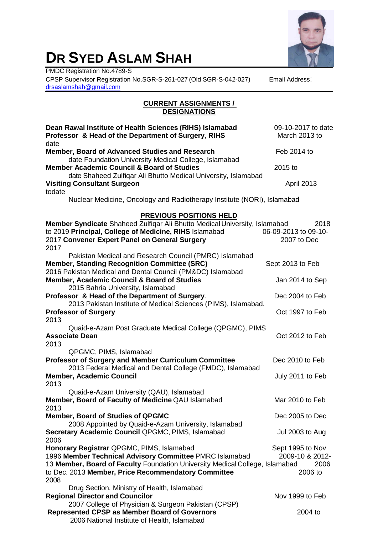

# **DR SYED ASLAM SHAH**

PMDC Registration No.4789-S CPSP Supervisor Registration No.SGR-S-261-027 (Old SGR-S-042-027) Email Address: [drsaslamshah@gmail.com](mailto:drsaslamshah@gmail.com)

# **CURRENT ASSIGNMENTS / DESIGNATIONS**

| Dean Rawal Institute of Health Sciences (RIHS) Islamabad<br>Professor & Head of the Department of Surgery, RIHS<br>date                                                                                                                             | 09-10-2017 to date<br>March 2013 to                    |
|-----------------------------------------------------------------------------------------------------------------------------------------------------------------------------------------------------------------------------------------------------|--------------------------------------------------------|
| Member, Board of Advanced Studies and Research<br>date Foundation University Medical College, Islamabad                                                                                                                                             | Feb 2014 to                                            |
| <b>Member Academic Council &amp; Board of Studies</b><br>date Shaheed Zulfiqar Ali Bhutto Medical University, Islamabad                                                                                                                             | 2015 to                                                |
| <b>Visiting Consultant Surgeon</b><br>todate                                                                                                                                                                                                        | <b>April 2013</b>                                      |
| Nuclear Medicine, Oncology and Radiotherapy Institute (NORI), Islamabad                                                                                                                                                                             |                                                        |
| <b>PREVIOUS POSITIONS HELD</b><br>Member Syndicate Shaheed Zulfiqar Ali Bhutto Medical University, Islamabad<br>to 2019 Principal, College of Medicine, RIHS Islamabad<br>2017 Convener Expert Panel on General Surgery<br>2017                     | 2018<br>06-09-2013 to 09-10-<br>2007 to Dec            |
| Pakistan Medical and Research Council (PMRC) Islamabad<br><b>Member, Standing Recognition Committee (SRC)</b>                                                                                                                                       | Sept 2013 to Feb                                       |
| 2016 Pakistan Medical and Dental Council (PM&DC) Islamabad<br><b>Member, Academic Council &amp; Board of Studies</b><br>2015 Bahria University, Islamabad                                                                                           | Jan 2014 to Sep                                        |
| Professor & Head of the Department of Surgery.<br>2013 Pakistan Institute of Medical Sciences (PIMS), Islamabad.                                                                                                                                    | Dec 2004 to Feb                                        |
| <b>Professor of Surgery</b><br>2013                                                                                                                                                                                                                 | Oct 1997 to Feb                                        |
| Quaid-e-Azam Post Graduate Medical College (QPGMC), PIMS<br><b>Associate Dean</b><br>2013                                                                                                                                                           | Oct 2012 to Feb                                        |
| QPGMC, PIMS, Islamabad<br><b>Professor of Surgery and Member Curriculum Committee</b><br>2013 Federal Medical and Dental College (FMDC), Islamabad                                                                                                  | Dec 2010 to Feb                                        |
| <b>Member, Academic Council</b><br>2013                                                                                                                                                                                                             | July 2011 to Feb                                       |
| Quaid-e-Azam University (QAU), Islamabad<br>Member, Board of Faculty of Medicine QAU Islamabad<br>2013                                                                                                                                              | Mar 2010 to Feb                                        |
| <b>Member, Board of Studies of QPGMC</b><br>2008 Appointed by Quaid-e-Azam University, Islamabad                                                                                                                                                    | Dec 2005 to Dec                                        |
| Secretary Academic Council QPGMC, PIMS, Islamabad<br>2006                                                                                                                                                                                           | Jul 2003 to Aug                                        |
| Honorary Registrar QPGMC, PIMS, Islamabad<br>1996 Member Technical Advisory Committee PMRC Islamabad<br>13 Member, Board of Faculty Foundation University Medical College, Islamabad<br>to Dec. 2013 Member, Price Recommendatory Committee<br>2008 | Sept 1995 to Nov<br>2009-10 & 2012-<br>2006<br>2006 to |
| Drug Section, Ministry of Health, Islamabad<br><b>Regional Director and Councilor</b>                                                                                                                                                               | Nov 1999 to Feb                                        |
| 2007 College of Physician & Surgeon Pakistan (CPSP)<br><b>Represented CPSP as Member Board of Governors</b><br>2006 National Institute of Health, Islamabad                                                                                         | 2004 to                                                |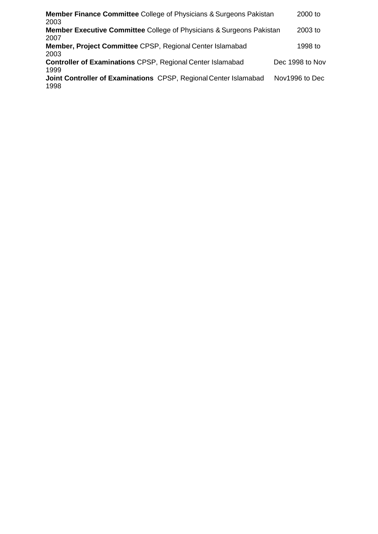| <b>Member Finance Committee</b> College of Physicians & Surgeons Pakistan<br>2003       | 2000 to         |
|-----------------------------------------------------------------------------------------|-----------------|
| <b>Member Executive Committee College of Physicians &amp; Surgeons Pakistan</b><br>2007 | 2003 to         |
| Member, Project Committee CPSP, Regional Center Islamabad<br>2003                       | 1998 to         |
| <b>Controller of Examinations CPSP, Regional Center Islamabad</b><br>1999               | Dec 1998 to Nov |
| Joint Controller of Examinations CPSP, Regional Center Islamabad<br>1998                | Nov1996 to Dec  |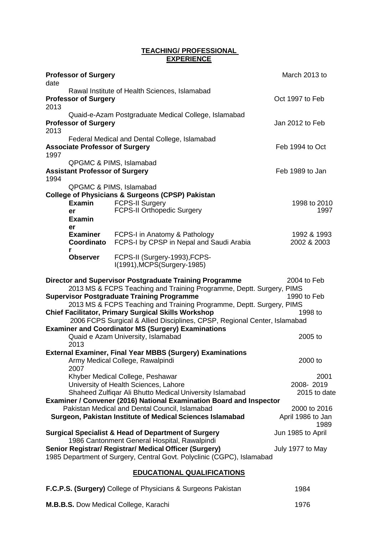#### **TEACHING/ PROFESSIONAL EXPERIENCE**

| <b>Professor of Surgery</b><br>date           |                                                                                                                                                                                                                                                                                                                                                                                                                                                                                                                   | March 2013 to                                                                     |
|-----------------------------------------------|-------------------------------------------------------------------------------------------------------------------------------------------------------------------------------------------------------------------------------------------------------------------------------------------------------------------------------------------------------------------------------------------------------------------------------------------------------------------------------------------------------------------|-----------------------------------------------------------------------------------|
| <b>Professor of Surgery</b><br>2013           | Rawal Institute of Health Sciences, Islamabad                                                                                                                                                                                                                                                                                                                                                                                                                                                                     | Oct 1997 to Feb                                                                   |
| <b>Professor of Surgery</b><br>2013           | Quaid-e-Azam Postgraduate Medical College, Islamabad                                                                                                                                                                                                                                                                                                                                                                                                                                                              | Jan 2012 to Feb                                                                   |
| <b>Associate Professor of Surgery</b><br>1997 | Federal Medical and Dental College, Islamabad                                                                                                                                                                                                                                                                                                                                                                                                                                                                     | Feb 1994 to Oct                                                                   |
| <b>Assistant Professor of Surgery</b><br>1994 | QPGMC & PIMS, Islamabad                                                                                                                                                                                                                                                                                                                                                                                                                                                                                           | Feb 1989 to Jan                                                                   |
| Examin<br>er<br><b>Examin</b><br>er           | QPGMC & PIMS, Islamabad<br><b>College of Physicians &amp; Surgeons (CPSP) Pakistan</b><br><b>FCPS-II Surgery</b><br><b>FCPS-II Orthopedic Surgery</b><br><b>Examiner</b> FCPS-I in Anatomy & Pathology                                                                                                                                                                                                                                                                                                            | 1998 to 2010<br>1997<br>1992 & 1993                                               |
| Coordinato<br>r<br><b>Observer</b>            | FCPS-I by CPSP in Nepal and Saudi Arabia<br>FCPS-II (Surgery-1993), FCPS-<br>I(1991), MCPS (Surgery-1985)                                                                                                                                                                                                                                                                                                                                                                                                         | 2002 & 2003                                                                       |
|                                               | <b>Director and Supervisor Postgraduate Training Programme</b><br>2013 MS & FCPS Teaching and Training Programme, Deptt. Surgery, PIMS<br><b>Supervisor Postgraduate Training Programme</b><br>2013 MS & FCPS Teaching and Training Programme, Deptt. Surgery, PIMS<br><b>Chief Facilitator, Primary Surgical Skills Workshop</b><br>2006 FCPS Surgical & Allied Disciplines, CPSP, Regional Center, Islamabad<br><b>Examiner and Coordinator MS (Surgery) Examinations</b><br>Quaid e Azam University, Islamabad | 2004 to Feb<br>1990 to Feb<br>1998 to<br>2005 to                                  |
| 2013<br>2007                                  | <b>External Examiner, Final Year MBBS (Surgery) Examinations</b><br>Army Medical College, Rawalpindi<br>Khyber Medical College, Peshawar<br>University of Health Sciences, Lahore<br>Shaheed Zulfiqar Ali Bhutto Medical University Islamabad<br>Examiner / Convener (2016) National Examination Board and Inspector<br>Pakistan Medical and Dental Council, Islamabad<br>Surgeon, Pakistan Institute of Medical Sciences Islamabad                                                                               | 2000 to<br>2001<br>2008-2019<br>2015 to date<br>2000 to 2016<br>April 1986 to Jan |
|                                               | <b>Surgical Specialist &amp; Head of Department of Surgery</b><br>1986 Cantonment General Hospital, Rawalpindi<br>Senior Registrar/ Registrar/ Medical Officer (Surgery)<br>1985 Department of Surgery, Central Govt. Polyclinic (CGPC), Islamabad                                                                                                                                                                                                                                                                | 1989<br>Jun 1985 to April<br>July 1977 to May                                     |
|                                               | <b>EDUCATIONAL QUALIFICATIONS</b>                                                                                                                                                                                                                                                                                                                                                                                                                                                                                 |                                                                                   |
|                                               | <b>ECDS</b> (Surgery) College of Physicians & Surgeons Pokiston                                                                                                                                                                                                                                                                                                                                                                                                                                                   | 1081                                                                              |

| <b>F.C.P.S. (Surgery)</b> College of Physicians & Surgeons Pakistan |  |
|---------------------------------------------------------------------|--|
|                                                                     |  |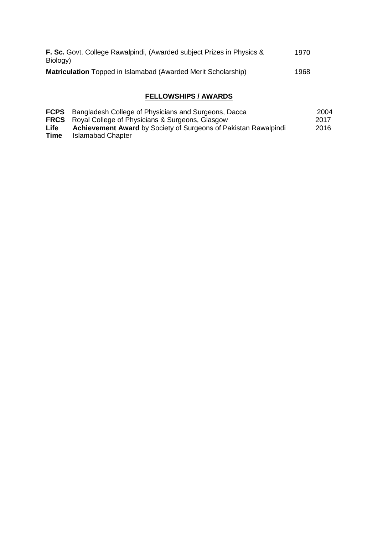| <b>F. Sc.</b> Govt. College Rawalpindi, (Awarded subject Prizes in Physics &<br>Biology) | 1970 |
|------------------------------------------------------------------------------------------|------|
| <b>Matriculation</b> Topped in Islamabad (Awarded Merit Scholarship)                     | 1968 |

# **FELLOWSHIPS / AWARDS**

|                     | <b>FCPS</b> Bangladesh College of Physicians and Surgeons, Dacca                     | 2004 |
|---------------------|--------------------------------------------------------------------------------------|------|
|                     | <b>FRCS</b> Royal College of Physicians & Surgeons, Glasgow                          | 2017 |
| <b>Life</b><br>Time | Achievement Award by Society of Surgeons of Pakistan Rawalpindi<br>Islamabad Chapter | 2016 |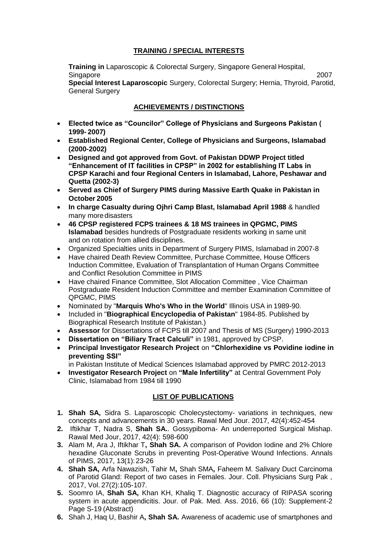## **TRAINING / SPECIAL INTERESTS**

**Training in** Laparoscopic & Colorectal Surgery, Singapore General Hospital, Singapore 2007

**Special Interest Laparoscopic** Surgery, Colorectal Surgery; Hernia, Thyroid, Parotid, General Surgery

## **ACHIEVEMENTS / DISTINCTIONS**

- **Elected twice as "Councilor" College of Physicians and Surgeons Pakistan ( 1999- 2007)**
- **Established Regional Center, College of Physicians and Surgeons, Islamabad (2000-2002)**
- **Designed and got approved from Govt. of Pakistan DDWP Project titled "Enhancement of IT facilities in CPSP" in 2002 for establishing IT Labs in CPSP Karachi and four Regional Centers in Islamabad, Lahore, Peshawar and Quetta (2002-3)**
- **Served as Chief of Surgery PIMS during Massive Earth Quake in Pakistan in October 2005**
- **In charge Casualty during Ojhri Camp Blast, Islamabad April 1988** & handled many moredisasters
- **46 CPSP registered FCPS trainees & 18 MS trainees in QPGMC, PIMS Islamabad** besides hundreds of Postgraduate residents working in same unit and on rotation from allied disciplines.
- Organized Specialties units in Department of Surgery PIMS, Islamabad in 2007-8
- Have chaired Death Review Committee, Purchase Committee, House Officers Induction Committee, Evaluation of Transplantation of Human Organs Committee and Conflict Resolution Committee in PIMS
- Have chaired Finance Committee, Slot Allocation Committee , Vice Chairman Postgraduate Resident Induction Committee and member Examination Committee of QPGMC, PIMS
- Nominated by "**Marquis Who's Who in the World**" Illinois USA in 1989-90.
- Included in "**Biographical Encyclopedia of Pakistan**" 1984-85. Published by Biographical Research Institute of Pakistan.)
- **Assessor** for Dissertations of FCPS till 2007 and Thesis of MS (Surgery) 1990-2013
- **Dissertation on "Biliary Tract Calculi"** in 1981, approved by CPSP.
- **Principal Investigator Research Project** on **"Chlorhexidine vs Povidine iodine in preventing SSI"**

in Pakistan Institute of Medical Sciences Islamabad approved by PMRC 2012-2013

 **Investigator Research Project** on **"Male Infertility"** at Central Government Poly Clinic, Islamabad from 1984 till 1990

#### **LIST OF PUBLICATIONS**

- **1. Shah SA,** Sidra S. Laparoscopic Cholecystectomy- variations in techniques, new concepts and advancements in 30 years. Rawal Med Jour. 2017, 42(4):452-454
- **2.** Iftikhar T, Nadra S, **Shah SA.**. Gossypiboma- An underreported Surgical Mishap. Rawal Med Jour, 2017, 42(4): 598-600
- **3.** Alam M, Ara J, Iftikhar T**, Shah SA.** A comparison of Povidon Iodine and 2% Chlore hexadine Gluconate Scrubs in preventing Post-Operative Wound Infections. Annals of PIMS, 2017, 13(1):23-26
- **4. Shah SA,** Arfa Nawazish, Tahir M**,** Shah SMA**,** Faheem M. Salivary Duct Carcinoma of Parotid Gland: Report of two cases in Females. Jour. Coll. Physicians Surg Pak , 2017, Vol. 27(2):105-107.
- **5.** Soomro IA, **Shah SA,** Khan KH, Khaliq T. Diagnostic accuracy of RIPASA scoring system in acute appendicitis. Jour. of Pak. Med. Ass. 2016, 66 (10): Supplement-2 Page S-19 (Abstract)
- **6.** Shah J, Haq U, Bashir A**, Shah SA.** Awareness of academic use of smartphones and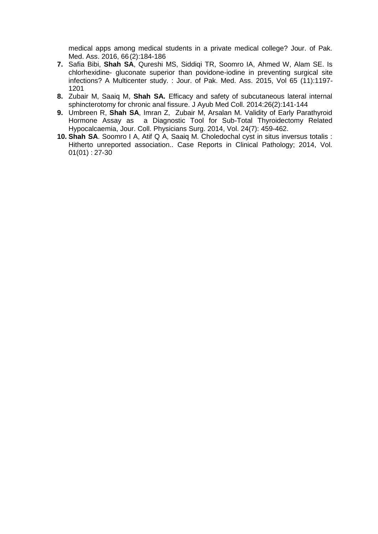medical apps among medical students in a private medical college? Jour. of Pak. Med. Ass. 2016, 66(2):184-186

- **7.** Safia Bibi, **Shah SA**, Qureshi MS, Siddiqi TR, Soomro IA, Ahmed W, Alam SE. Is chlorhexidine- gluconate superior than povidone-iodine in preventing surgical site infections? A Multicenter study. : Jour. of Pak. Med. Ass. 2015, Vol 65 (11):1197- 1201
- **8.** Zubair M, Saaiq M, **Shah SA.** Efficacy and safety of subcutaneous lateral internal sphincterotomy for chronic anal fissure. J Ayub Med Coll. 2014:26(2):141-144
- **9.** Umbreen R, **Shah SA**, Imran Z, Zubair M, Arsalan M. Validity of Early Parathyroid Hormone Assay as a Diagnostic Tool for Sub-Total Thyroidectomy Related Hypocalcaemia, Jour. Coll. Physicians Surg. 2014, Vol. 24(7): 459-462.
- **10. Shah SA**. Soomro I A, Atif Q A, Saaiq M. Choledochal cyst in situs inversus totalis : Hitherto unreported association.. Case Reports in Clinical Pathology; 2014, Vol.  $01(01): 27-30$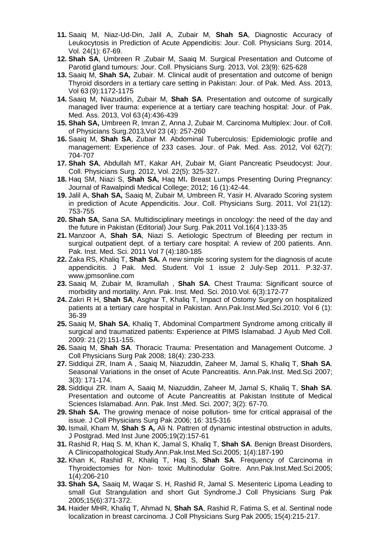- **11.** Saaiq M, Niaz-Ud-Din, Jalil A, Zubair M, **Shah SA**, Diagnostic Accuracy of Leukocytosis in Prediction of Acute Appendicitis: Jour. Coll. Physicians Surg. 2014, Vol. 24(1): 67-69.
- **12. Shah SA**, Umbreen R ,Zubair M, Saaiq M. Surgical Presentation and Outcome of Parotid gland tumours: Jour. Coll. Physicians Surg. 2013, Vol. 23(9): 625-628
- **13.** Saaiq M, **Shah SA,** Zubair. M. Clinical audit of presentation and outcome of benign Thyroid disorders in a tertiary care setting in Pakistan: Jour. of Pak. Med. Ass. 2013, Vol 63 (9):1172-1175
- **14.** Saaiq M, Niazuddin, Zubair M, **Shah SA**. Presentation and outcome of surgically managed liver trauma: experience at a tertiary care teaching hospital: Jour. of Pak. Med. Ass. 2013, Vol 63 (4):436-439
- **15. Shah SA,** Umbreen R, Imran Z, Anna J, Zubair M. Carcinoma Multiplex: Jour. of Coll. of Physicians Surg.2013,Vol 23 (4): 257-260
- **16.** Saaiq M, **Shah SA**, Zubair M. Abdominal Tuberculosis: Epidemiologic profile and management: Experience of 233 cases. Jour. of Pak. Med. Ass. 2012, Vol 62(7): 704-707
- **17. Shah SA**, Abdullah MT, Kakar AH, Zubair M, Giant Pancreatic Pseudocyst: Jour. Coll. Physicians Surg. 2012, Vol. 22(5): 325-327.
- **18.** Haq SM, Niazi S, **Shah SA,** Haq MI**.** Breast Lumps Presenting During Pregnancy: Journal of Rawalpindi Medical College; 2012; 16 (1):42-44.
- **19.** Jalil A, **Shah SA,** Saaiq M, Zubair M, Umbreen R, Yasir H. Alvarado Scoring system in prediction of Acute Appendicitis. Jour. Coll. Physicians Surg. 2011, Vol 21(12): 753-755
- **20. Shah SA**, Sana SA. Multidisciplinary meetings in oncology: the need of the day and the future in Pakistan (Editorial) Jour Surg. Pak.2011 Vol.16(4 ):133-35
- **21.** Manzoor A, **Shah SA**, Niazi S. Aetiologic Spectrum of Bleeding per rectum in surgical outpatient dept. of a tertiary care hospital: A review of 200 patients. Ann. Pak. Inst. Med. Sci. 2011 Vol 7 (4):180-185
- **22.** Zaka RS, Khaliq T, **Shah SA.** A new simple scoring system for the diagnosis of acute appendicitis. J Pak. Med. Student. Vol 1 issue 2 July-Sep 2011. P.32-37. [www.jpmsonline.com](http://www.jpmsonline.com/)
- **23.** Saaiq M, Zubair M, Ikramullah , **Shah SA**. Chest Trauma: Significant source of morbidity and mortality. Ann. Pak. Inst. Med. Sci. 2010.Vol. 6(3):172-77
- **24.** Zakri R H, **Shah SA**, Asghar T, Khaliq T, Impact of Ostomy Surgery on hospitalized patients at a tertiary care hospital in Pakistan. Ann.Pak.Inst.Med.Sci.2010: Vol 6 (1): 36-39
- **25.** Saaiq M, **Shah SA**, Khaliq T, Abdominal Compartment Syndrome among critically ill surgical and traumatized patients: Experience at PIMS Islamabad. J Ayub Med Coll. 2009: 21 (2):151-155.
- **26.** Saaiq M, **Shah SA**. Thoracic Trauma: Presentation and Management Outcome. J Coll Physicians Surg Pak 2008; 18(4): 230-233.
- **27.** Siddiqui ZR, Inam A , Saaiq M, Niazuddin, Zaheer M, Jamal S, Khaliq T, **Shah SA**. Seasonal Variations in the onset of Acute Pancreatitis. Ann.Pak.Inst. Med.Sci 2007; 3(3): 171-174.
- **28.** Siddiqui ZR. Inam A, Saaiq M, Niazuddin, Zaheer M, Jamal S, Khaliq T, **Shah SA**. Presentation and outcome of Acute Pancreatitis at Pakistan Institute of Medical Sciences Islamabad. Ann. Pak. Inst .Med. Sci. 2007; 3(2): 67-70.
- **29. Shah SA.** The growing menace of noise pollution- time for critical appraisal of the issue. J Coll Physicians Surg Pak 2006; 16: 315-316
- **30.** Ismail, Kham M, **Shah S A,** Ali N. Pattren of dynamic intestinal obstruction in adults, J Postgrad. Med Inst June 2005;19(2):157-61
- **31.** Rashid R, Haq S. M, Khan K, Jamal S, Khaliq T, **Shah SA**. Benign Breast Disorders, A Clinicopathological Study.Ann.Pak.Inst.Med.Sci.2005; 1(4):187-190
- **32.** Khan K, Rashid R, Khaliq T, Haq S, **Shah SA**. Frequency of Carcinoma in Thyroidectomies for Non- toxic Multinodular Goitre. Ann.Pak.Inst.Med.Sci.2005; 1(4):206-210
- **33. Shah SA,** Saaiq M, Waqar S. H, Rashid R, Jamal S. Mesenteric Lipoma Leading to small Gut Strangulation and short Gut Syndrome.J Coll Physicians Surg Pak 2005;15(6):371-372.
- **34.** Haider MHR, Khaliq T, Ahmad N, **Shah SA**, Rashid R, Fatima S, et al. Sentinal node localization in breast carcinoma. J Coll Physicians Surg Pak 2005; 15(4):215-217.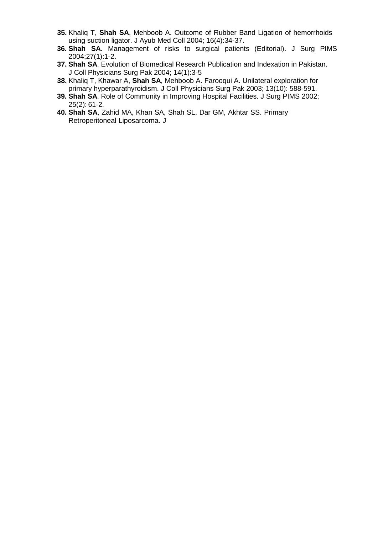- **35.** Khaliq T, **Shah SA**, Mehboob A. Outcome of Rubber Band Ligation of hemorrhoids using suction ligator. J Ayub Med Coll 2004; 16(4):34-37.
- **36. Shah SA**. Management of risks to surgical patients (Editorial). J Surg PIMS 2004;27(1):1-2.
- **37. Shah SA**. Evolution of Biomedical Research Publication and Indexation in Pakistan. J Coll Physicians Surg Pak 2004; 14(1):3-5
- **38.** Khaliq T, Khawar A, **Shah SA**, Mehboob A. Farooqui A. Unilateral exploration for primary hyperparathyroidism. J Coll Physicians Surg Pak 2003; 13(10): 588-591.
- **39. Shah SA**. Role of Community in Improving Hospital Facilities. J Surg PIMS 2002; 25(2): 61-2.
- **40. Shah SA**, Zahid MA, Khan SA, Shah SL, Dar GM, Akhtar SS. Primary Retroperitoneal Liposarcoma. J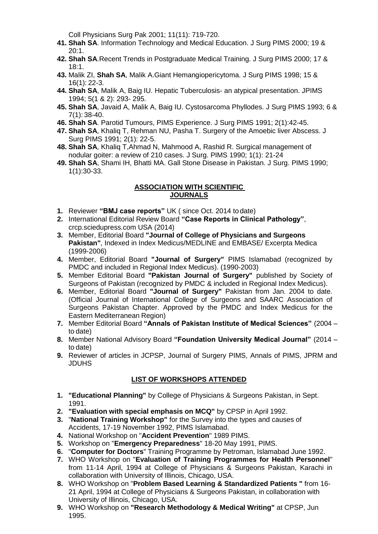Coll Physicians Surg Pak 2001; 11(11): 719-720.

- **41. Shah SA**. Information Technology and Medical Education. J Surg PIMS 2000; 19 & 20:1.
- **42. Shah SA**.Recent Trends in Postgraduate Medical Training. J Surg PIMS 2000; 17 & 18:1.
- **43.** Malik ZI, **Shah SA**, Malik A.Giant Hemangiopericytoma. J Surg PIMS 1998; 15 & 16(1): 22-3.
- **44. Shah SA**, Malik A, Baig IU. Hepatic Tuberculosis- an atypical presentation. JPIMS 1994; 5(1 & 2): 293- 295.
- **45. Shah SA**, Javaid A, Malik A, Baig IU. Cystosarcoma Phyllodes. J Surg PIMS 1993; 6 & 7(1): 38-40.
- **46. Shah SA**. Parotid Tumours, PIMS Experience. J Surg PIMS 1991; 2(1):42-45.
- **47. Shah SA**, Khaliq T, Rehman NU, Pasha T. Surgery of the Amoebic liver Abscess. J Surg PIMS 1991; 2(1): 22-5.
- **48. Shah SA**, Khaliq T,Ahmad N, Mahmood A, Rashid R. Surgical management of nodular goiter: a review of 210 cases. J Surg. PIMS 1990; 1(1): 21-24
- **49. Shah SA**, Shami IH, Bhatti MA. Gall Stone Disease in Pakistan. J Surg. PIMS 1990; 1(1):30-33.

#### **ASSOCIATION WITH SCIENTIFIC JOURNALS**

- **1.** Reviewer **"BMJ case reports"** UK ( since Oct. 2014 todate)
- **2.** International Editorial Review Board **"Case Reports in Clinical Pathology"**, crcp.sciedupress.com USA (2014)
- **3.** Member, Editorial Board **"Journal of College of Physicians and Surgeons Pakistan"**, Indexed in Index Medicus/MEDLINE and EMBASE/ Excerpta Medica (1999-2006)
- **4.** Member, Editorial Board **"Journal of Surgery"** PIMS Islamabad (recognized by PMDC and included in Regional Index Medicus). (1990-2003)
- **5.** Member Editorial Board **"Pakistan Journal of Surgery"** published by Society of Surgeons of Pakistan (recognized by PMDC & included in Regional Index Medicus).
- **6.** Member, Editorial Board **"Journal of Surgery"** Pakistan from Jan. 2004 to date. (Official Journal of International College of Surgeons and SAARC Association of Surgeons Pakistan Chapter. Approved by the PMDC and Index Medicus for the Eastern Mediterranean Region)
- **7.** Member Editorial Board **"Annals of Pakistan Institute of Medical Sciences"** (2004 to date)
- **8.** Member National Advisory Board **"Foundation University Medical Journal"** (2014 to date)
- **9.** Reviewer of articles in JCPSP, Journal of Surgery PIMS, Annals of PIMS, JPRM and JDUHS

## **LIST OF WORKSHOPS ATTENDED**

- **1. "Educational Planning"** by College of Physicians & Surgeons Pakistan, in Sept. 1991.
- **2. "Evaluation with special emphasis on MCQ"** by CPSP in April 1992.
- **3.** "**National Training Workshop"** for the Survey into the types and causes of Accidents, 17-19 November 1992, PIMS Islamabad.
- **4.** National Workshop on "**Accident Prevention**" 1989 PIMS.
- **5.** Workshop on "**Emergency Preparedness**" 18-20 May 1991, PIMS.
- **6.** "**Computer for Doctors**" Training Programme by Petroman, Islamabad June 1992.
- **7.** WHO Workshop on "**Evaluation of Training Programmes for Health Personnel**" from 11-14 April, 1994 at College of Physicians & Surgeons Pakistan, Karachi in collaboration with University of Illinois, Chicago, USA.
- **8.** WHO Workshop on "**Problem Based Learning & Standardized Patients "** from 16- 21 April, 1994 at College of Physicians & Surgeons Pakistan, in collaboration with University of Illinois, Chicago, USA.
- **9.** WHO Workshop on **"Research Methodology & Medical Writing"** at CPSP, Jun 1995.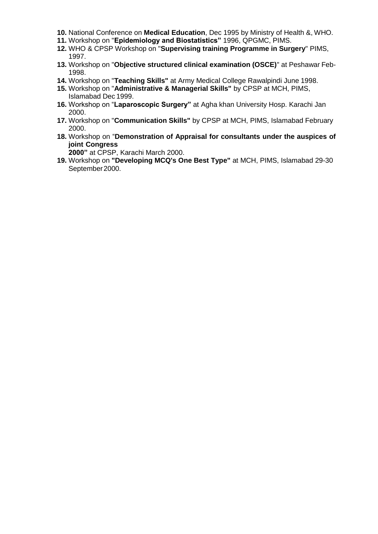- **10.** National Conference on **Medical Education**, Dec 1995 by Ministry of Health &, WHO.
- **11.** Workshop on "**Epidemiology and Biostatistics"** 1996, QPGMC, PIMS.
- **12.** WHO & CPSP Workshop on "**Supervising training Programme in Surgery**" PIMS, 1997.
- **13.** Workshop on "**Objective structured clinical examination (OSCE)**" at Peshawar Feb-1998.
- **14.** Workshop on "**Teaching Skills"** at Army Medical College Rawalpindi June 1998.
- **15.** Workshop on "**Administrative & Managerial Skills"** by CPSP at MCH, PIMS, Islamabad Dec 1999.
- **16.** Workshop on "**Laparoscopic Surgery"** at Agha khan University Hosp. Karachi Jan 2000.
- **17.** Workshop on "**Communication Skills"** by CPSP at MCH, PIMS, Islamabad February 2000.
- **18.** Workshop on "**Demonstration of Appraisal for consultants under the auspices of joint Congress**

**2000"** at CPSP, Karachi March 2000.

**19.** Workshop on **"Developing MCQ's One Best Type"** at MCH, PIMS, Islamabad 29-30 September2000.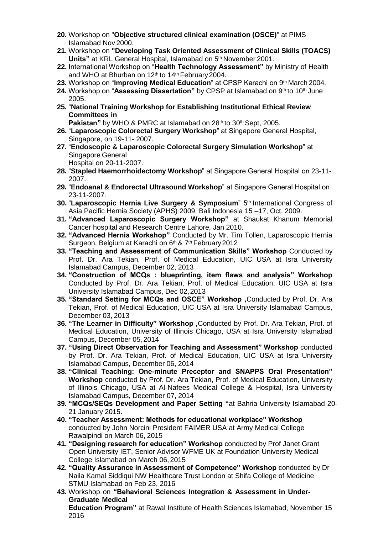- **20.** Workshop on "**Objective structured clinical examination (OSCE)**" at PIMS Islamabad Nov 2000.
- **21.** Workshop on **"Developing Task Oriented Assessment of Clinical Skills (TOACS)**  Units" at KRL General Hospital, Islamabad on 5<sup>th</sup> November 2001.
- **22.** International Workshop on "**Health Technology Assessment"** by Ministry of Health and WHO at Bhurban on 12<sup>th</sup> to 14<sup>th</sup> February 2004.
- 23. Workshop on "Improving Medical Education" at CPSP Karachi on 9th March 2004.
- 24. Workshop on "Assessing Dissertation" by CPSP at Islamabad on 9<sup>th</sup> to 10<sup>th</sup> June 2005.
- **25.** "**National Training Workshop for Establishing Institutional Ethical Review Committees in**
	- **Pakistan"** by WHO & PMRC at Islamabad on 28<sup>th</sup> to 30<sup>th</sup> Sept, 2005.
- **26.** "**Laparoscopic Colorectal Surgery Workshop**" at Singapore General Hospital, Singapore, on 19-11- 2007.
- **27.** "**Endoscopic & Laparoscopic Colorectal Surgery Simulation Workshop**" at Singapore General
	- Hospital on 20-11-2007.

2016

- **28.** "**Stapled Haemorrhoidectomy Workshop**" at Singapore General Hospital on 23-11- 2007.
- **29.** "**Endoanal & Endorectal Ultrasound Workshop**" at Singapore General Hospital on 23-11-2007.
- 30. "Laparoscopic Hernia Live Surgery & Symposium" 5<sup>th</sup> International Congress of Asia Pacific Hernia Society (APHS) 2009, Bali Indonesia 15 –17, Oct. 2009.
- **31. "Advanced Laparoscopic Surgery Workshop"** at Shaukat Khanum Memorial Cancer hospital and Research Centre Lahore, Jan 2010.
- **32. "Advanced Hernia Workshop"** Conducted by Mr. Tim Tollen, Laparoscopic Hernia Surgeon, Belgium at Karachi on 6<sup>th</sup> & 7<sup>th</sup> February 2012
- **33. "Teaching and Assessment of Communication Skills" Workshop** Conducted by Prof. Dr. Ara Tekian, Prof. of Medical Education, UIC USA at Isra University Islamabad Campus, December 02, 2013
- **34. "Construction of MCQs : blueprinting, item flaws and analysis" Workshop**  Conducted by Prof. Dr. Ara Tekian, Prof. of Medical Education, UIC USA at Isra University Islamabad Campus, Dec 02,2013
- **35. "Standard Setting for MCQs and OSCE" Workshop ,**Conducted by Prof. Dr. Ara Tekian, Prof. of Medical Education, UIC USA at Isra University Islamabad Campus, December 03, 2013
- **36. "The Learner in Difficulty" Workshop ,**Conducted by Prof. Dr. Ara Tekian, Prof. of Medical Education, University of Illinois Chicago, USA at Isra University Islamabad Campus, December 05, 2014
- **37. "Using Direct Observation for Teaching and Assessment" Workshop** conducted by Prof. Dr. Ara Tekian, Prof. of Medical Education, UIC USA at Isra University Islamabad Campus, December 06, 2014
- **38. "Clinical Teaching: One-minute Preceptor and SNAPPS Oral Presentation" Workshop** conducted by Prof. Dr. Ara Tekian, Prof. of Medical Education, University of Illinois Chicago, USA at Al-Nafees Medical College & Hospital, Isra University Islamabad Campus, December 07, 2014
- **39. "MCQs/SEQs Development and Paper Setting "**at Bahria University Islamabad 20- 21 January 2015.
- **40. "Teacher Assessment: Methods for educational workplace" Workshop**  conducted by John Norcini President FAIMER USA at Army Medical College Rawalpindi on March 06, 2015
- **41. "Designing research for education" Workshop** conducted by Prof Janet Grant Open University IET, Senior Advisor WFME UK at Foundation University Medical College Islamabad on March 06, 2015
- **42. "Quality Assurance in Assessment of Competence" Workshop** conducted by Dr Naila Kamal Siddiqui NW Healthcare Trust London at Shifa College of Medicine STMU Islamabad on Feb 23, 2016
- **43.** Workshop on **"Behavioral Sciences Integration & Assessment in Under-Graduate Medical Education Program"** at Rawal Institute of Health Sciences Islamabad, November 15